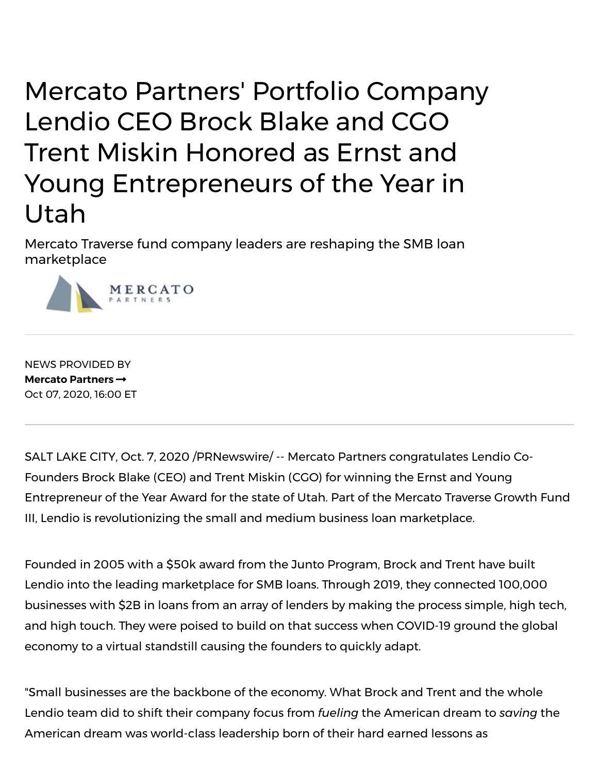## Mercato Partners' Portfolio Company Lendio CEO Brock Blake and CGO Trent Miskin Honored as Ernst and Young Entrepreneurs of the Year in Utah

Mercato Traverse fund company leaders are reshaping the SMB loan marketplace



NEWS PROVIDED BY **Mercato [Partners](https://www.prnewswire.com/news/mercato-partners)** Oct 07, 2020, 16:00 ET

SALT LAKE CITY, Oct. 7, 2020 /PRNewswire/ -- Mercato Partners congratulates Lendio Co-Founders Brock Blake (CEO) and Trent Miskin (CGO) for winning the Ernst and Young Entrepreneur of the Year Award for the state of Utah. Part of the Mercato Traverse Growth Fund III, Lendio is revolutionizing the small and medium business loan marketplace.

Founded in 2005 with a \$50k award from the Junto Program, Brock and Trent have built Lendio into the leading marketplace for SMB loans. Through 2019, they connected 100,000 businesses with \$2B in loans from an array of lenders by making the process simple, high tech, and high touch. They were poised to build on that success when COVID-19 ground the global economy to a virtual standstill causing the founders to quickly adapt.

"Small businesses are the backbone of the economy. What Brock and Trent and the whole Lendio team did to shift their company focus from *fueling* the American dream to *saving* the American dream was world-class leadership born of their hard earned lessons as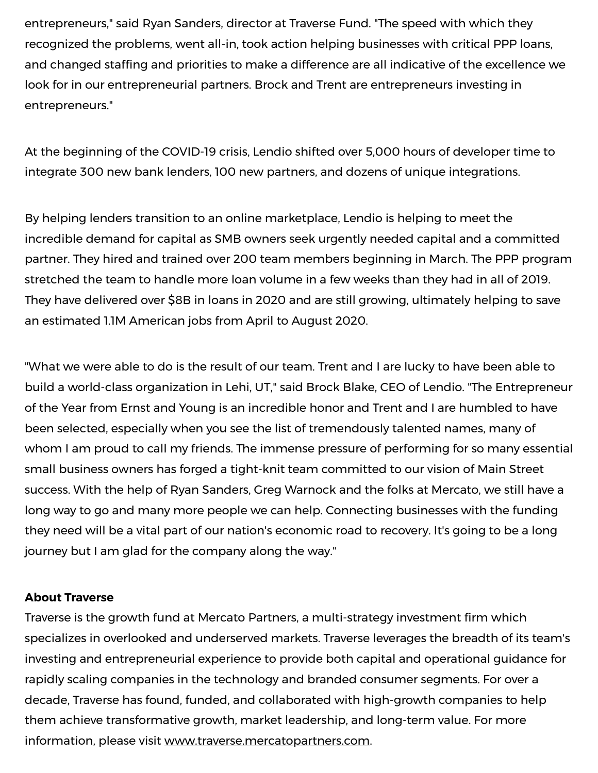entrepreneurs," said Ryan Sanders, director at Traverse Fund. "The speed with which they recognized the problems, went all-in, took action helping businesses with critical PPP loans, and changed staffing and priorities to make a difference are all indicative of the excellence we look for in our entrepreneurial partners. Brock and Trent are entrepreneurs investing in entrepreneurs."

At the beginning of the COVID-19 crisis, Lendio shifted over 5,000 hours of developer time to integrate 300 new bank lenders, 100 new partners, and dozens of unique integrations.

By helping lenders transition to an online marketplace, Lendio is helping to meet the incredible demand for capital as SMB owners seek urgently needed capital and a committed partner. They hired and trained over 200 team members beginning in March. The PPP program stretched the team to handle more loan volume in a few weeks than they had in all of 2019. They have delivered over \$8B in loans in 2020 and are still growing, ultimately helping to save an estimated 1.1M American jobs from April to August 2020.

"What we were able to do is the result of our team. Trent and I are lucky to have been able to build a world-class organization in Lehi, UT," said Brock Blake, CEO of Lendio. "The Entrepreneur of the Year from Ernst and Young is an incredible honor and Trent and I are humbled to have been selected, especially when you see the list of tremendously talented names, many of whom I am proud to call my friends. The immense pressure of performing for so many essential small business owners has forged a tight-knit team committed to our vision of Main Street success. With the help of Ryan Sanders, Greg Warnock and the folks at Mercato, we still have a long way to go and many more people we can help. Connecting businesses with the funding they need will be a vital part of our nation's economic road to recovery. It's going to be a long journey but I am glad for the company along the way."

## **About Traverse**

Traverse is the growth fund at Mercato Partners, a multi-strategy investment firm which specializes in overlooked and underserved markets. Traverse leverages the breadth of its team's investing and entrepreneurial experience to provide both capital and operational guidance for rapidly scaling companies in the technology and branded consumer segments. For over a decade, Traverse has found, funded, and collaborated with high-growth companies to help them achieve transformative growth, market leadership, and long-term value. For more information, please visit [www.traverse.mercatopartners.com](https://c212.net/c/link/?t=0&l=en&o=2943395-1&h=3301912018&u=https%3A%2F%2Ftraverse.mercatopartners.com%2F&a=www.traverse.mercatopartners.com).